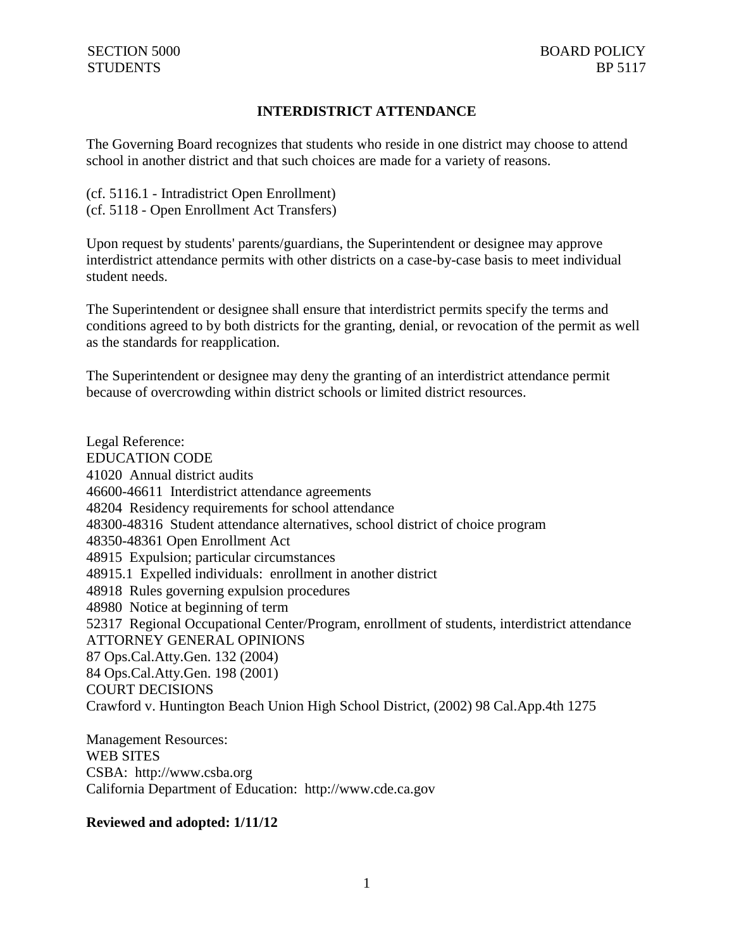## **INTERDISTRICT ATTENDANCE**

The Governing Board recognizes that students who reside in one district may choose to attend school in another district and that such choices are made for a variety of reasons.

(cf. 5116.1 - Intradistrict Open Enrollment) (cf. 5118 - Open Enrollment Act Transfers)

Upon request by students' parents/guardians, the Superintendent or designee may approve interdistrict attendance permits with other districts on a case-by-case basis to meet individual student needs.

The Superintendent or designee shall ensure that interdistrict permits specify the terms and conditions agreed to by both districts for the granting, denial, or revocation of the permit as well as the standards for reapplication.

The Superintendent or designee may deny the granting of an interdistrict attendance permit because of overcrowding within district schools or limited district resources.

Legal Reference: EDUCATION CODE 41020 Annual district audits 46600-46611 Interdistrict attendance agreements 48204 Residency requirements for school attendance 48300-48316 Student attendance alternatives, school district of choice program 48350-48361 Open Enrollment Act 48915 Expulsion; particular circumstances 48915.1 Expelled individuals: enrollment in another district 48918 Rules governing expulsion procedures 48980 Notice at beginning of term 52317 Regional Occupational Center/Program, enrollment of students, interdistrict attendance ATTORNEY GENERAL OPINIONS 87 Ops.Cal.Atty.Gen. 132 (2004) 84 Ops.Cal.Atty.Gen. 198 (2001) COURT DECISIONS Crawford v. Huntington Beach Union High School District, (2002) 98 Cal.App.4th 1275

Management Resources: WEB SITES CSBA: http://www.csba.org California Department of Education: http://www.cde.ca.gov

## **Reviewed and adopted: 1/11/12**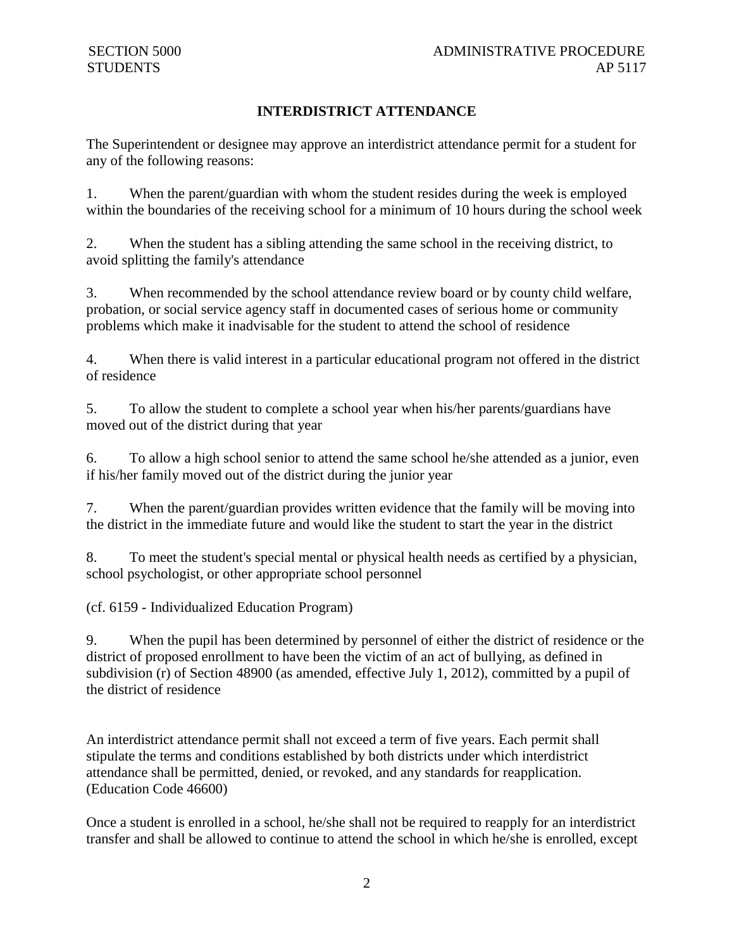## **INTERDISTRICT ATTENDANCE**

The Superintendent or designee may approve an interdistrict attendance permit for a student for any of the following reasons:

1. When the parent/guardian with whom the student resides during the week is employed within the boundaries of the receiving school for a minimum of 10 hours during the school week

2. When the student has a sibling attending the same school in the receiving district, to avoid splitting the family's attendance

3. When recommended by the school attendance review board or by county child welfare, probation, or social service agency staff in documented cases of serious home or community problems which make it inadvisable for the student to attend the school of residence

4. When there is valid interest in a particular educational program not offered in the district of residence

5. To allow the student to complete a school year when his/her parents/guardians have moved out of the district during that year

6. To allow a high school senior to attend the same school he/she attended as a junior, even if his/her family moved out of the district during the junior year

7. When the parent/guardian provides written evidence that the family will be moving into the district in the immediate future and would like the student to start the year in the district

8. To meet the student's special mental or physical health needs as certified by a physician, school psychologist, or other appropriate school personnel

(cf. 6159 - Individualized Education Program)

9. When the pupil has been determined by personnel of either the district of residence or the district of proposed enrollment to have been the victim of an act of bullying, as defined in subdivision (r) of Section 48900 (as amended, effective July 1, 2012), committed by a pupil of the district of residence

An interdistrict attendance permit shall not exceed a term of five years. Each permit shall stipulate the terms and conditions established by both districts under which interdistrict attendance shall be permitted, denied, or revoked, and any standards for reapplication. (Education Code 46600)

Once a student is enrolled in a school, he/she shall not be required to reapply for an interdistrict transfer and shall be allowed to continue to attend the school in which he/she is enrolled, except